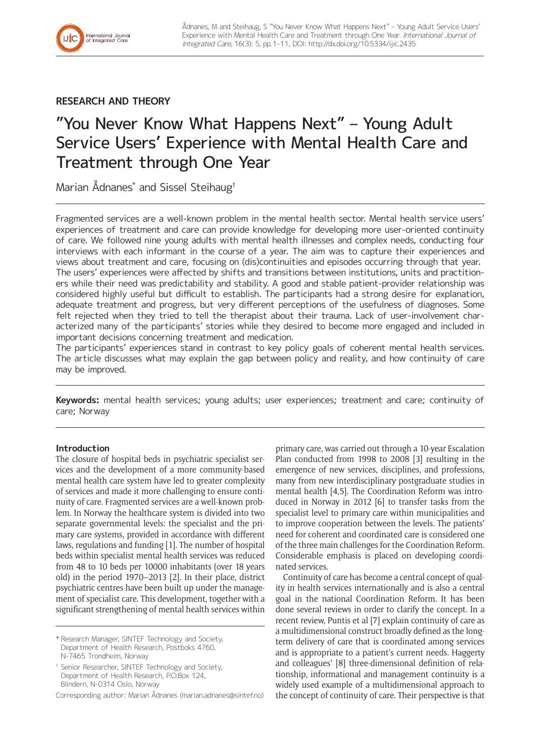

**RESEARCH AND THEORY**

# "You Never Know What Happens Next" – Young Adult Service Users' Experience with Mental Health Care and Treatment through One Year

Marian Ådnanes\* and Sissel Steihaug†

Fragmented services are a well-known problem in the mental health sector. Mental health service users' experiences of treatment and care can provide knowledge for developing more user-oriented continuity of care. We followed nine young adults with mental health illnesses and complex needs, conducting four interviews with each informant in the course of a year. The aim was to capture their experiences and views about treatment and care, focusing on (dis)continuities and episodes occurring through that year. The users' experiences were affected by shifts and transitions between institutions, units and practitioners while their need was predictability and stability. A good and stable patient-provider relationship was considered highly useful but difficult to establish. The participants had a strong desire for explanation, adequate treatment and progress, but very different perceptions of the usefulness of diagnoses. Some felt rejected when they tried to tell the therapist about their trauma. Lack of user-involvement characterized many of the participants' stories while they desired to become more engaged and included in important decisions concerning treatment and medication.

The participants' experiences stand in contrast to key policy goals of coherent mental health services. The article discusses what may explain the gap between policy and reality, and how continuity of care may be improved.

**Keywords:** mental health services; young adults; user experiences; treatment and care; continuity of care; Norway

# **Introduction**

The closure of hospital beds in psychiatric specialist services and the development of a more community-based mental health care system have led to greater complexity of services and made it more challenging to ensure continuity of care. Fragmented services are a well-known problem. In Norway the healthcare system is divided into two separate governmental levels: the specialist and the primary care systems, provided in accordance with different laws, regulations and funding [1]. The number of hospital beds within specialist mental health services was reduced from 48 to 10 beds per 10000 inhabitants (over 18 years old) in the period 1970–2013 [2]. In their place, district psychiatric centres have been built up under the management of specialist care. This development, together with a significant strengthening of mental health services within

\* Research Manager, SINTEF Technology and Society, Department of Health Research, Postboks 4760, N-7465 Trondheim, Norway

† Senior Researcher, SINTEF Technology and Society, Department of Health Research, P.O.Box 124, Blindern, N-0314 Oslo, Norway

Corresponding author: Marian Ådnanes [\(marian.adnanes@sintef.no\)](mailto:marian.adnanes@sintef.no)

primary care, was carried out through a 10-year Escalation Plan conducted from 1998 to 2008 [3] resulting in the emergence of new services, disciplines, and professions, many from new interdisciplinary postgraduate studies in mental health [4,5]. The Coordination Reform was introduced in Norway in 2012 [6] to transfer tasks from the specialist level to primary care within municipalities and to improve cooperation between the levels. The patients' need for coherent and coordinated care is considered one of the three main challenges for the Coordination Reform. Considerable emphasis is placed on developing coordinated services.

Continuity of care has become a central concept of quality in health services internationally and is also a central goal in the national Coordination Reform. It has been done several reviews in order to clarify the concept. In a recent review, Puntis et al [7] explain continuity of care as a multidimensional construct broadly defined as the longterm delivery of care that is coordinated among services and is appropriate to a patient's current needs. Haggerty and colleagues' [8] three-dimensional definition of relationship, informational and management continuity is a widely used example of a multidimensional approach to the concept of continuity of care. Their perspective is that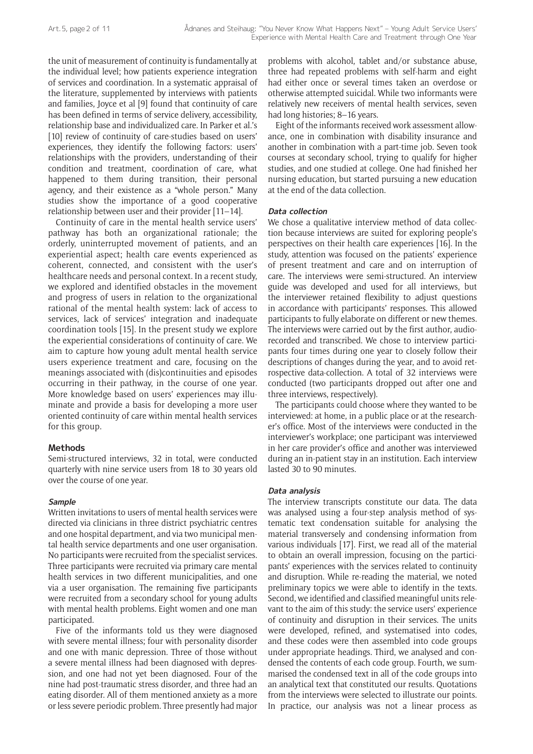the unit of measurement of continuity is fundamentally at the individual level; how patients experience integration of services and coordination. In a systematic appraisal of the literature, supplemented by interviews with patients and families, Joyce et al [9] found that continuity of care has been defined in terms of service delivery, accessibility, relationship base and individualized care. In Parker et al.'s [10] review of continuity of care-studies based on users' experiences, they identify the following factors: users' relationships with the providers, understanding of their condition and treatment, coordination of care, what happened to them during transition, their personal agency, and their existence as a "whole person." Many studies show the importance of a good cooperative relationship between user and their provider [11–14].

Continuity of care in the mental health service users' pathway has both an organizational rationale; the orderly, uninterrupted movement of patients, and an experiential aspect; health care events experienced as coherent, connected, and consistent with the user's healthcare needs and personal context. In a recent study, we explored and identified obstacles in the movement and progress of users in relation to the organizational rational of the mental health system: lack of access to services, lack of services' integration and inadequate coordination tools [15]. In the present study we explore the experiential considerations of continuity of care. We aim to capture how young adult mental health service users experience treatment and care, focusing on the meanings associated with (dis)continuities and episodes occurring in their pathway, in the course of one year. More knowledge based on users' experiences may illuminate and provide a basis for developing a more user oriented continuity of care within mental health services for this group.

## **Methods**

Semi-structured interviews, 32 in total, were conducted quarterly with nine service users from 18 to 30 years old over the course of one year.

#### **Sample**

Written invitations to users of mental health services were directed via clinicians in three district psychiatric centres and one hospital department, and via two municipal mental health service departments and one user organisation. No participants were recruited from the specialist services. Three participants were recruited via primary care mental health services in two different municipalities, and one via a user organisation. The remaining five participants were recruited from a secondary school for young adults with mental health problems. Eight women and one man participated.

Five of the informants told us they were diagnosed with severe mental illness; four with personality disorder and one with manic depression. Three of those without a severe mental illness had been diagnosed with depression, and one had not yet been diagnosed. Four of the nine had post-traumatic stress disorder, and three had an eating disorder. All of them mentioned anxiety as a more or less severe periodic problem. Three presently had major problems with alcohol, tablet and/or substance abuse, three had repeated problems with self-harm and eight had either once or several times taken an overdose or otherwise attempted suicidal. While two informants were relatively new receivers of mental health services, seven had long histories: 8-16 years.

Eight of the informants received work assessment allowance, one in combination with disability insurance and another in combination with a part-time job. Seven took courses at secondary school, trying to qualify for higher studies, and one studied at college. One had finished her nursing education, but started pursuing a new education at the end of the data collection.

#### **Data collection**

We chose a qualitative interview method of data collection because interviews are suited for exploring people's perspectives on their health care experiences [16]. In the study, attention was focused on the patients' experience of present treatment and care and on interruption of care. The interviews were semi-structured. An interview guide was developed and used for all interviews, but the interviewer retained flexibility to adjust questions in accordance with participants' responses. This allowed participants to fully elaborate on different or new themes. The interviews were carried out by the first author, audiorecorded and transcribed. We chose to interview participants four times during one year to closely follow their descriptions of changes during the year, and to avoid retrospective data-collection. A total of 32 interviews were conducted (two participants dropped out after one and three interviews, respectively).

The participants could choose where they wanted to be interviewed: at home, in a public place or at the researcher's office. Most of the interviews were conducted in the interviewer's workplace; one participant was interviewed in her care provider's office and another was interviewed during an in-patient stay in an institution. Each interview lasted 30 to 90 minutes.

#### **Data analysis**

The interview transcripts constitute our data. The data was analysed using a four-step analysis method of systematic text condensation suitable for analysing the material transversely and condensing information from various individuals [17]. First, we read all of the material to obtain an overall impression, focusing on the participants' experiences with the services related to continuity and disruption. While re-reading the material, we noted preliminary topics we were able to identify in the texts. Second, we identified and classified meaningful units relevant to the aim of this study: the service users' experience of continuity and disruption in their services. The units were developed, refined, and systematised into codes, and these codes were then assembled into code groups under appropriate headings. Third, we analysed and condensed the contents of each code group. Fourth, we summarised the condensed text in all of the code groups into an analytical text that constituted our results. Quotations from the interviews were selected to illustrate our points. In practice, our analysis was not a linear process as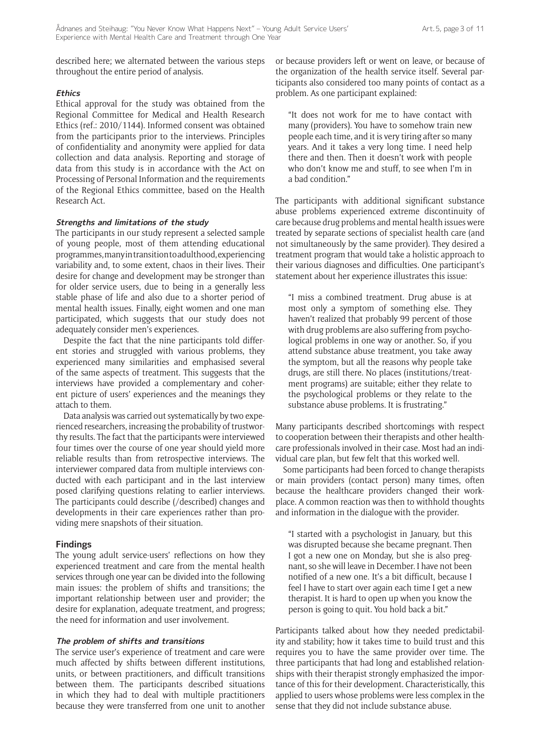described here; we alternated between the various steps throughout the entire period of analysis.

## **Ethics**

Ethical approval for the study was obtained from the Regional Committee for Medical and Health Research Ethics (ref.: 2010/1144). Informed consent was obtained from the participants prior to the interviews. Principles of confidentiality and anonymity were applied for data collection and data analysis. Reporting and storage of data from this study is in accordance with the Act on Processing of Personal Information and the requirements of the Regional Ethics committee, based on the Health Research Act.

## **Strengths and limitations of the study**

The participants in our study represent a selected sample of young people, most of them attending educational programmes, many in transition to adulthood, experiencing variability and, to some extent, chaos in their lives. Their desire for change and development may be stronger than for older service users, due to being in a generally less stable phase of life and also due to a shorter period of mental health issues. Finally, eight women and one man participated, which suggests that our study does not adequately consider men's experiences.

Despite the fact that the nine participants told different stories and struggled with various problems, they experienced many similarities and emphasised several of the same aspects of treatment. This suggests that the interviews have provided a complementary and coherent picture of users' experiences and the meanings they attach to them.

Data analysis was carried out systematically by two experienced researchers, increasing the probability of trustworthy results. The fact that the participants were interviewed four times over the course of one year should yield more reliable results than from retrospective interviews. The interviewer compared data from multiple interviews conducted with each participant and in the last interview posed clarifying questions relating to earlier interviews. The participants could describe (/described) changes and developments in their care experiences rather than providing mere snapshots of their situation.

## **Findings**

The young adult service-users' reflections on how they experienced treatment and care from the mental health services through one year can be divided into the following main issues: the problem of shifts and transitions; the important relationship between user and provider; the desire for explanation, adequate treatment, and progress; the need for information and user involvement.

## **The problem of shifts and transitions**

The service user's experience of treatment and care were much affected by shifts between different institutions, units, or between practitioners, and difficult transitions between them. The participants described situations in which they had to deal with multiple practitioners because they were transferred from one unit to another or because providers left or went on leave, or because of the organization of the health service itself. Several participants also considered too many points of contact as a problem. As one participant explained:

"It does not work for me to have contact with many (providers). You have to somehow train new people each time, and it is very tiring after so many years. And it takes a very long time. I need help there and then. Then it doesn't work with people who don't know me and stuff, to see when I'm in a bad condition."

The participants with additional significant substance abuse problems experienced extreme discontinuity of care because drug problems and mental health issues were treated by separate sections of specialist health care (and not simultaneously by the same provider). They desired a treatment program that would take a holistic approach to their various diagnoses and difficulties. One participant's statement about her experience illustrates this issue:

"I miss a combined treatment. Drug abuse is at most only a symptom of something else. They haven't realized that probably 99 percent of those with drug problems are also suffering from psychological problems in one way or another. So, if you attend substance abuse treatment, you take away the symptom, but all the reasons why people take drugs, are still there. No places (institutions/treatment programs) are suitable; either they relate to the psychological problems or they relate to the substance abuse problems. It is frustrating."

Many participants described shortcomings with respect to cooperation between their therapists and other healthcare professionals involved in their case. Most had an individual care plan, but few felt that this worked well.

Some participants had been forced to change therapists or main providers (contact person) many times, often because the healthcare providers changed their workplace. A common reaction was then to withhold thoughts and information in the dialogue with the provider.

"I started with a psychologist in January, but this was disrupted because she became pregnant. Then I got a new one on Monday, but she is also pregnant, so she will leave in December. I have not been notified of a new one. It's a bit difficult, because I feel I have to start over again each time I get a new therapist. It is hard to open up when you know the person is going to quit. You hold back a bit."

Participants talked about how they needed predictability and stability; how it takes time to build trust and this requires you to have the same provider over time. The three participants that had long and established relationships with their therapist strongly emphasized the importance of this for their development. Characteristically, this applied to users whose problems were less complex in the sense that they did not include substance abuse.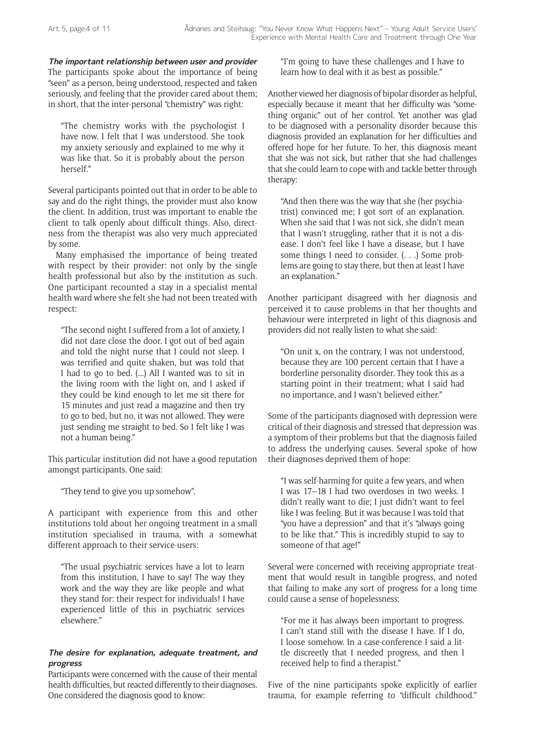**The important relationship between user and provider** The participants spoke about the importance of being "seen" as a person, being understood, respected and taken seriously, and feeling that the provider cared about them; in short, that the inter-personal "chemistry" was right:

"The chemistry works with the psychologist I have now. I felt that I was understood. She took my anxiety seriously and explained to me why it was like that. So it is probably about the person herself."

Several participants pointed out that in order to be able to say and do the right things, the provider must also know the client. In addition, trust was important to enable the client to talk openly about difficult things. Also, directness from the therapist was also very much appreciated by some.

Many emphasised the importance of being treated with respect by their provider: not only by the single health professional but also by the institution as such. One participant recounted a stay in a specialist mental health ward where she felt she had not been treated with respect:

"The second night I suffered from a lot of anxiety, I did not dare close the door. I got out of bed again and told the night nurse that I could not sleep. I was terrified and quite shaken, but was told that I had to go to bed. (...) All I wanted was to sit in the living room with the light on, and I asked if they could be kind enough to let me sit there for 15 minutes and just read a magazine and then try to go to bed, but no, it was not allowed. They were just sending me straight to bed. So I felt like I was not a human being."

This particular institution did not have a good reputation amongst participants. One said:

"They tend to give you up somehow".

A participant with experience from this and other institutions told about her ongoing treatment in a small institution specialised in trauma, with a somewhat different approach to their service-users:

"The usual psychiatric services have a lot to learn from this institution, I have to say! The way they work and the way they are like people and what they stand for: their respect for individuals! I have experienced little of this in psychiatric services elsewhere."

#### **The desire for explanation, adequate treatment, and progress**

Participants were concerned with the cause of their mental health difficulties, but reacted differently to their diagnoses. One considered the diagnosis good to know:

"I'm going to have these challenges and I have to learn how to deal with it as best as possible."

Another viewed her diagnosis of bipolar disorder as helpful, especially because it meant that her difficulty was "something organic" out of her control. Yet another was glad to be diagnosed with a personality disorder because this diagnosis provided an explanation for her difficulties and offered hope for her future. To her, this diagnosis meant that she was not sick, but rather that she had challenges that she could learn to cope with and tackle better through therapy:

"And then there was the way that she (her psychiatrist) convinced me; I got sort of an explanation. When she said that I was not sick, she didn't mean that I wasn't struggling, rather that it is not a disease. I don't feel like I have a disease, but I have some things I need to consider. (. . .) Some problems are going to stay there, but then at least I have an explanation."

Another participant disagreed with her diagnosis and perceived it to cause problems in that her thoughts and behaviour were interpreted in light of this diagnosis and providers did not really listen to what she said:

"On unit x, on the contrary, I was not understood, because they are 100 percent certain that I have a borderline personality disorder. They took this as a starting point in their treatment; what I said had no importance, and I wasn't believed either."

Some of the participants diagnosed with depression were critical of their diagnosis and stressed that depression was a symptom of their problems but that the diagnosis failed to address the underlying causes. Several spoke of how their diagnoses deprived them of hope:

"I was self-harming for quite a few years, and when I was 17–18 I had two overdoses in two weeks. I didn't really want to die; I just didn't want to feel like I was feeling. But it was because I was told that "you have a depression" and that it's "always going to be like that." This is incredibly stupid to say to someone of that age!"

Several were concerned with receiving appropriate treatment that would result in tangible progress, and noted that failing to make any sort of progress for a long time could cause a sense of hopelessness:

"For me it has always been important to progress. I can't stand still with the disease I have. If I do, I loose somehow. In a case-conference I said a little discreetly that I needed progress, and then I received help to find a therapist."

Five of the nine participants spoke explicitly of earlier trauma, for example referring to "difficult childhood."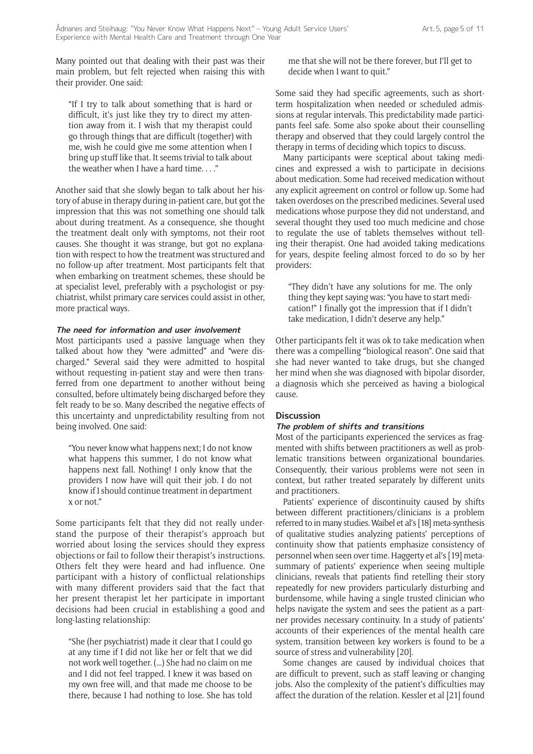Many pointed out that dealing with their past was their main problem, but felt rejected when raising this with their provider. One said:

"If I try to talk about something that is hard or difficult, it's just like they try to direct my attention away from it. I wish that my therapist could go through things that are difficult (together) with me, wish he could give me some attention when I bring up stuff like that. It seems trivial to talk about the weather when I have a hard time. . . ."

Another said that she slowly began to talk about her history of abuse in therapy during in-patient care, but got the impression that this was not something one should talk about during treatment. As a consequence, she thought the treatment dealt only with symptoms, not their root causes. She thought it was strange, but got no explanation with respect to how the treatment was structured and no follow-up after treatment. Most participants felt that when embarking on treatment schemes, these should be at specialist level, preferably with a psychologist or psychiatrist, whilst primary care services could assist in other, more practical ways.

#### **The need for information and user involvement**

Most participants used a passive language when they talked about how they "were admitted" and "were discharged." Several said they were admitted to hospital without requesting in-patient stay and were then transferred from one department to another without being consulted, before ultimately being discharged before they felt ready to be so. Many described the negative effects of this uncertainty and unpredictability resulting from not being involved. One said:

"You never know what happens next; I do not know what happens this summer, I do not know what happens next fall. Nothing! I only know that the providers I now have will quit their job. I do not know if I should continue treatment in department x or not."

Some participants felt that they did not really understand the purpose of their therapist's approach but worried about losing the services should they express objections or fail to follow their therapist's instructions. Others felt they were heard and had influence. One participant with a history of conflictual relationships with many different providers said that the fact that her present therapist let her participate in important decisions had been crucial in establishing a good and long-lasting relationship:

"She (her psychiatrist) made it clear that I could go at any time if I did not like her or felt that we did not work well together. (...) She had no claim on me and I did not feel trapped. I knew it was based on my own free will, and that made me choose to be there, because I had nothing to lose. She has told

me that she will not be there forever, but I'll get to decide when I want to quit."

Some said they had specific agreements, such as shortterm hospitalization when needed or scheduled admissions at regular intervals. This predictability made participants feel safe. Some also spoke about their counselling therapy and observed that they could largely control the therapy in terms of deciding which topics to discuss.

Many participants were sceptical about taking medicines and expressed a wish to participate in decisions about medication. Some had received medication without any explicit agreement on control or follow up. Some had taken overdoses on the prescribed medicines. Several used medications whose purpose they did not understand, and several thought they used too much medicine and chose to regulate the use of tablets themselves without telling their therapist. One had avoided taking medications for years, despite feeling almost forced to do so by her providers:

"They didn't have any solutions for me. The only thing they kept saying was: "you have to start medication!" I finally got the impression that if I didn't take medication, I didn't deserve any help."

Other participants felt it was ok to take medication when there was a compelling "biological reason". One said that she had never wanted to take drugs, but she changed her mind when she was diagnosed with bipolar disorder, a diagnosis which she perceived as having a biological cause.

## **Discussion**

## **The problem of shifts and transitions**

Most of the participants experienced the services as fragmented with shifts between practitioners as well as problematic transitions between organizational boundaries. Consequently, their various problems were not seen in context, but rather treated separately by different units and practitioners.

Patients' experience of discontinuity caused by shifts between different practitioners/clinicians is a problem referred to in many studies. Waibel et al's [18] meta-synthesis of qualitative studies analyzing patients' perceptions of continuity show that patients emphasize consistency of personnel when seen over time. Haggerty et al's [19] metasummary of patients' experience when seeing multiple clinicians, reveals that patients find retelling their story repeatedly for new providers particularly disturbing and burdensome, while having a single trusted clinician who helps navigate the system and sees the patient as a partner provides necessary continuity. In a study of patients' accounts of their experiences of the mental health care system, transition between key workers is found to be a source of stress and vulnerability [20].

Some changes are caused by individual choices that are difficult to prevent, such as staff leaving or changing jobs. Also the complexity of the patient's difficulties may affect the duration of the relation. Kessler et al [21] found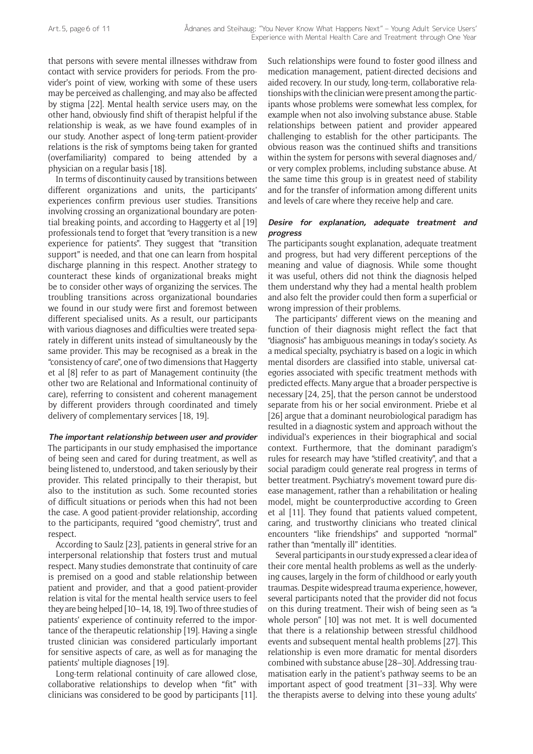that persons with severe mental illnesses withdraw from contact with service providers for periods. From the provider's point of view, working with some of these users may be perceived as challenging, and may also be affected by stigma [22]. Mental health service users may, on the other hand, obviously find shift of therapist helpful if the relationship is weak, as we have found examples of in our study. Another aspect of long-term patient-provider relations is the risk of symptoms being taken for granted (overfamiliarity) compared to being attended by a physician on a regular basis [18].

In terms of discontinuity caused by transitions between different organizations and units, the participants' experiences confirm previous user studies. Transitions involving crossing an organizational boundary are potential breaking points, and according to Haggerty et al [19] professionals tend to forget that "every transition is a new experience for patients". They suggest that "transition support" is needed, and that one can learn from hospital discharge planning in this respect. Another strategy to counteract these kinds of organizational breaks might be to consider other ways of organizing the services. The troubling transitions across organizational boundaries we found in our study were first and foremost between different specialised units. As a result, our participants with various diagnoses and difficulties were treated separately in different units instead of simultaneously by the same provider. This may be recognised as a break in the "consistency of care", one of two dimensions that Haggerty et al [8] refer to as part of Management continuity (the other two are Relational and Informational continuity of care), referring to consistent and coherent management by different providers through coordinated and timely delivery of complementary services [18, 19].

## **The important relationship between user and provider**

The participants in our study emphasised the importance of being seen and cared for during treatment, as well as being listened to, understood, and taken seriously by their provider. This related principally to their therapist, but also to the institution as such. Some recounted stories of difficult situations or periods when this had not been the case. A good patient-provider relationship, according to the participants, required "good chemistry", trust and respect.

According to Saulz [23], patients in general strive for an interpersonal relationship that fosters trust and mutual respect. Many studies demonstrate that continuity of care is premised on a good and stable relationship between patient and provider, and that a good patient-provider relation is vital for the mental health service users to feel they are being helped [10–14, 18, 19]. Two of three studies of patients' experience of continuity referred to the importance of the therapeutic relationship [19]. Having a single trusted clinician was considered particularly important for sensitive aspects of care, as well as for managing the patients' multiple diagnoses [19].

Long-term relational continuity of care allowed close, collaborative relationships to develop when "fit" with clinicians was considered to be good by participants [11]. Such relationships were found to foster good illness and medication management, patient-directed decisions and aided recovery. In our study, long-term, collaborative relationships with the clinician were present among the participants whose problems were somewhat less complex, for example when not also involving substance abuse. Stable relationships between patient and provider appeared challenging to establish for the other participants. The obvious reason was the continued shifts and transitions within the system for persons with several diagnoses and/ or very complex problems, including substance abuse. At the same time this group is in greatest need of stability and for the transfer of information among different units and levels of care where they receive help and care.

#### **Desire for explanation, adequate treatment and progress**

The participants sought explanation, adequate treatment and progress, but had very different perceptions of the meaning and value of diagnosis. While some thought it was useful, others did not think the diagnosis helped them understand why they had a mental health problem and also felt the provider could then form a superficial or wrong impression of their problems.

The participants' different views on the meaning and function of their diagnosis might reflect the fact that "diagnosis" has ambiguous meanings in today's society. As a medical specialty, psychiatry is based on a logic in which mental disorders are classified into stable, universal categories associated with specific treatment methods with predicted effects. Many argue that a broader perspective is necessary [24, 25], that the person cannot be understood separate from his or her social environment. Priebe et al [26] argue that a dominant neurobiological paradigm has resulted in a diagnostic system and approach without the individual's experiences in their biographical and social context. Furthermore, that the dominant paradigm's rules for research may have "stifled creativity", and that a social paradigm could generate real progress in terms of better treatment. Psychiatry's movement toward pure disease management, rather than a rehabilitation or healing model, might be counterproductive according to Green et al [11]. They found that patients valued competent, caring, and trustworthy clinicians who treated clinical encounters "like friendships" and supported "normal" rather than "mentally ill" identities.

Several participants in our study expressed a clear idea of their core mental health problems as well as the underlying causes, largely in the form of childhood or early youth traumas. Despite widespread trauma experience, however, several participants noted that the provider did not focus on this during treatment. Their wish of being seen as "a whole person" [10] was not met. It is well documented that there is a relationship between stressful childhood events and subsequent mental health problems [27]. This relationship is even more dramatic for mental disorders combined with substance abuse [28–30]. Addressing traumatisation early in the patient's pathway seems to be an important aspect of good treatment [31–33]. Why were the therapists averse to delving into these young adults'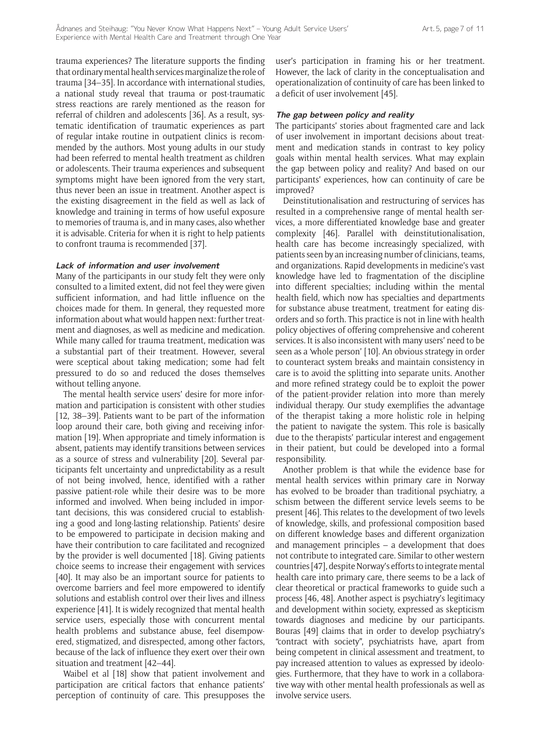trauma experiences? The literature supports the finding that ordinary mental health services marginalize the role of trauma [34–35]. In accordance with international studies, a national study reveal that trauma or post-traumatic stress reactions are rarely mentioned as the reason for referral of children and adolescents [36]. As a result, systematic identification of traumatic experiences as part of regular intake routine in outpatient clinics is recommended by the authors. Most young adults in our study had been referred to mental health treatment as children or adolescents. Their trauma experiences and subsequent symptoms might have been ignored from the very start, thus never been an issue in treatment. Another aspect is the existing disagreement in the field as well as lack of knowledge and training in terms of how useful exposure to memories of trauma is, and in many cases, also whether it is advisable. Criteria for when it is right to help patients to confront trauma is recommended [37].

#### **Lack of information and user involvement**

Many of the participants in our study felt they were only consulted to a limited extent, did not feel they were given sufficient information, and had little influence on the choices made for them. In general, they requested more information about what would happen next: further treatment and diagnoses, as well as medicine and medication. While many called for trauma treatment, medication was a substantial part of their treatment. However, several were sceptical about taking medication; some had felt pressured to do so and reduced the doses themselves without telling anyone.

The mental health service users' desire for more information and participation is consistent with other studies [12, 38-39]. Patients want to be part of the information loop around their care, both giving and receiving information [19]. When appropriate and timely information is absent, patients may identify transitions between services as a source of stress and vulnerability [20]. Several participants felt uncertainty and unpredictability as a result of not being involved, hence, identified with a rather passive patient-role while their desire was to be more informed and involved. When being included in important decisions, this was considered crucial to establishing a good and long-lasting relationship. Patients' desire to be empowered to participate in decision making and have their contribution to care facilitated and recognized by the provider is well documented [18]. Giving patients choice seems to increase their engagement with services [40]. It may also be an important source for patients to overcome barriers and feel more empowered to identify solutions and establish control over their lives and illness experience [41]. It is widely recognized that mental health service users, especially those with concurrent mental health problems and substance abuse, feel disempowered, stigmatized, and disrespected, among other factors, because of the lack of influence they exert over their own situation and treatment [42–44].

Waibel et al [18] show that patient involvement and participation are critical factors that enhance patients' perception of continuity of care. This presupposes the user's participation in framing his or her treatment. However, the lack of clarity in the conceptualisation and operationalization of continuity of care has been linked to a deficit of user involvement [45].

#### **The gap between policy and reality**

The participants' stories about fragmented care and lack of user involvement in important decisions about treatment and medication stands in contrast to key policy goals within mental health services. What may explain the gap between policy and reality? And based on our participants' experiences, how can continuity of care be improved?

Deinstitutionalisation and restructuring of services has resulted in a comprehensive range of mental health services, a more differentiated knowledge base and greater complexity [46]. Parallel with deinstitutionalisation, health care has become increasingly specialized, with patients seen by an increasing number of clinicians, teams, and organizations. Rapid developments in medicine's vast knowledge have led to fragmentation of the discipline into different specialties; including within the mental health field, which now has specialties and departments for substance abuse treatment, treatment for eating disorders and so forth. This practice is not in line with health policy objectives of offering comprehensive and coherent services. It is also inconsistent with many users' need to be seen as a 'whole person' [10]. An obvious strategy in order to counteract system breaks and maintain consistency in care is to avoid the splitting into separate units. Another and more refined strategy could be to exploit the power of the patient-provider relation into more than merely individual therapy. Our study exemplifies the advantage of the therapist taking a more holistic role in helping the patient to navigate the system. This role is basically due to the therapists' particular interest and engagement in their patient, but could be developed into a formal responsibility.

Another problem is that while the evidence base for mental health services within primary care in Norway has evolved to be broader than traditional psychiatry, a schism between the different service levels seems to be present [46]. This relates to the development of two levels of knowledge, skills, and professional composition based on different knowledge bases and different organization and management principles – a development that does not contribute to integrated care. Similar to other western countries [47], despite Norway's efforts to integrate mental health care into primary care, there seems to be a lack of clear theoretical or practical frameworks to guide such a process [46, 48]. Another aspect is psychiatry's legitimacy and development within society, expressed as skepticism towards diagnoses and medicine by our participants. Bouras [49] claims that in order to develop psychiatry's "contract with society", psychiatrists have, apart from being competent in clinical assessment and treatment, to pay increased attention to values as expressed by ideologies. Furthermore, that they have to work in a collaborative way with other mental health professionals as well as involve service users.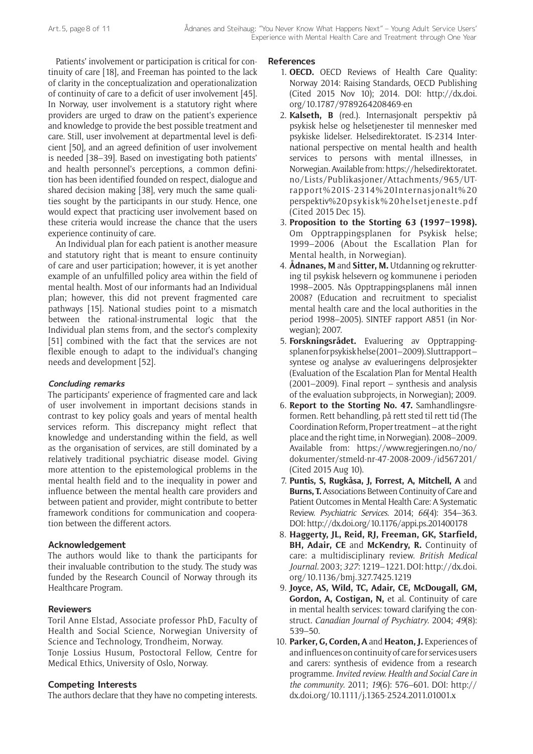Patients' involvement or participation is critical for continuity of care [18], and Freeman has pointed to the lack of clarity in the conceptualization and operationalization of continuity of care to a deficit of user involvement [45]. In Norway, user involvement is a statutory right where providers are urged to draw on the patient's experience and knowledge to provide the best possible treatment and care. Still, user involvement at departmental level is deficient [50], and an agreed definition of user involvement is needed [38–39]. Based on investigating both patients' and health personnel's perceptions, a common definition has been identified founded on respect, dialogue and shared decision making [38], very much the same qualities sought by the participants in our study. Hence, one would expect that practicing user involvement based on these criteria would increase the chance that the users experience continuity of care.

An Individual plan for each patient is another measure and statutory right that is meant to ensure continuity of care and user participation; however, it is yet another example of an unfulfilled policy area within the field of mental health. Most of our informants had an Individual plan; however, this did not prevent fragmented care pathways [15]. National studies point to a mismatch between the rational-instrumental logic that the Individual plan stems from, and the sector's complexity [51] combined with the fact that the services are not flexible enough to adapt to the individual's changing needs and development [52].

## **Concluding remarks**

The participants' experience of fragmented care and lack of user involvement in important decisions stands in contrast to key policy goals and years of mental health services reform. This discrepancy might reflect that knowledge and understanding within the field, as well as the organisation of services, are still dominated by a relatively traditional psychiatric disease model. Giving more attention to the epistemological problems in the mental health field and to the inequality in power and influence between the mental health care providers and between patient and provider, might contribute to better framework conditions for communication and cooperation between the different actors.

# **Acknowledgement**

The authors would like to thank the participants for their invaluable contribution to the study. The study was funded by the Research Council of Norway through its Healthcare Program.

# **Reviewers**

Toril Anne Elstad, Associate professor PhD, Faculty of Health and Social Science, Norwegian University of Science and Technology, Trondheim, Norway.

Tonje Lossius Husum, Postoctoral Fellow, Centre for Medical Ethics, University of Oslo, Norway.

# **Competing Interests**

The authors declare that they have no competing interests.

**References**

- 1. **OECD.** OECD Reviews of Health Care Quality: Norway 2014: Raising Standards, OECD Publishing (Cited 2015 Nov 10); 2014. DOI: [http://dx.doi.](http://dx.doi.org/10.1787/9789264208469-en) [org/10.1787/9789264208469-en](http://dx.doi.org/10.1787/9789264208469-en)
- 2. **Kalseth, B** (red.). Internasjonalt perspektiv på psykisk helse og helsetjenester til mennesker med psykiske lidelser. Helsedirektoratet. IS-2314 International perspective on mental health and health services to persons with mental illnesses, in Norwegian. Available from: [https://helsedirektoratet.](https://helsedirektoratet.no/Lists/Publikasjoner/Attachments/965/UT-rapport%20IS-2314%20Internasjonalt%20perspektiv%20psykisk%20helsetjeneste.pdf) [no/Lists/Publikasjoner/Attachments/965/UT](https://helsedirektoratet.no/Lists/Publikasjoner/Attachments/965/UT-rapport%20IS-2314%20Internasjonalt%20perspektiv%20psykisk%20helsetjeneste.pdf)[rapport%20IS-2314%20Internasjonalt%20](https://helsedirektoratet.no/Lists/Publikasjoner/Attachments/965/UT-rapport%20IS-2314%20Internasjonalt%20perspektiv%20psykisk%20helsetjeneste.pdf) [perspektiv%20psykisk%20helsetjeneste.pdf](https://helsedirektoratet.no/Lists/Publikasjoner/Attachments/965/UT-rapport%20IS-2314%20Internasjonalt%20perspektiv%20psykisk%20helsetjeneste.pdf) (Cited 2015 Dec 15).
- 3. **Proposition to the Storting 63 (1997–1998).** Om Opptrappingsplanen for Psykisk helse; 1999–2006 (About the Escallation Plan for Mental health, in Norwegian).
- 4. **Ådnanes, M** and **Sitter, M.** Utdanning og rekruttering til psykisk helsevern og kommunene i perioden 1998–2005. Nås Opptrappingsplanens mål innen 2008? (Education and recruitment to specialist mental health care and the local authorities in the period 1998–2005). SINTEF rapport A851 (in Norwegian); 2007.
- 5. **Forskningsrådet.** Evaluering av Opptrappingsplanen for psykisk helse (2001–2009). Sluttrapport – syntese og analyse av evalueringens delprosjekter (Evaluation of the Escalation Plan for Mental Health (2001–2009). Final report – synthesis and analysis of the evaluation subprojects, in Norwegian); 2009.
- 6. **Report to the Storting No. 47.** Samhandlingsreformen. Rett behandling, på rett sted til rett tid (The Coordination Reform, Proper treatment – at the right place and the right time, in Norwegian). 2008–2009. Available from: [https://www.regjeringen.no/no/](https://www.regjeringen.no/no/dokumenter/stmeld-nr-47-2008-2009-/id567201/) [dokumenter/stmeld-nr-47-2008-2009-/id567201/](https://www.regjeringen.no/no/dokumenter/stmeld-nr-47-2008-2009-/id567201/) (Cited 2015 Aug 10).
- 7. **Puntis, S, Rugkåsa, J, Forrest, A, Mitchell, A** and **Burns, T.** Associations Between Continuity of Care and Patient Outcomes in Mental Health Care: A Systematic Review. *Psychiatric Services*. 2014; *66*(4): 354–363. DOI:<http://dx.doi.org/10.1176/appi.ps.201400178>
- 8. **Haggerty, JL, Reid, RJ, Freeman, GK, Starfield, BH, Adair, CE** and **McKendry, R.** Continuity of care: a multidisciplinary review. *British Medical Journal*. 2003; *327*: 1219–1221. DOI: [http://dx.doi.](http://dx.doi.org/10.1136/bmj.327.7425.1219) [org/10.1136/bmj.327.7425.1219](http://dx.doi.org/10.1136/bmj.327.7425.1219)
- 9. **Joyce, AS, Wild, TC, Adair, CE, McDougall, GM, Gordon, A, Costigan, N,** et al. Continuity of care in mental health services: toward clarifying the construct. *Canadian Journal of Psychiatry*. 2004; *49*(8): 539–50.
- 10. **Parker, G, Corden, A** and **Heaton, J.** Experiences of and influences on continuity of care for services users and carers: synthesis of evidence from a research programme. *Invited review. Health and Social Care in the community*. 2011; *19*(6): 576–601. DOI: [http://](http://dx.doi.org/10.1111/j.1365-2524.2011.01001.x) [dx.doi.org/10.1111/j.1365-2524.2011.01001.x](http://dx.doi.org/10.1111/j.1365-2524.2011.01001.x)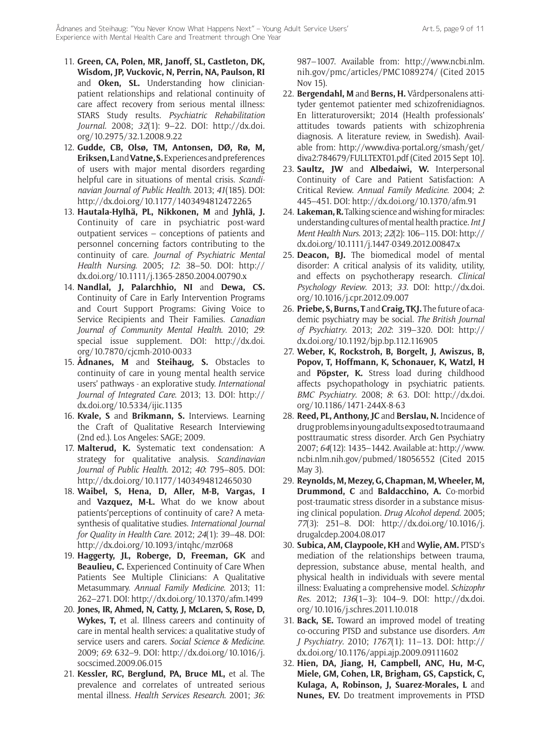- 11. **Green, CA, Polen, MR, Janoff, SL, Castleton, DK, Wisdom, JP, Vuckovic, N, Perrin, NA, Paulson, RI** and **Oken, SL.** Understanding how clinicianpatient relationships and relational continuity of care affect recovery from serious mental illness: STARS Study results. *Psychiatric Rehabilitation Journal*. 2008; *32*(1): 9–22. DOI: [http://dx.doi.](http://dx.doi.org/10.2975/32.1.2008.9.22) [org/10.2975/32.1.2008.9.22](http://dx.doi.org/10.2975/32.1.2008.9.22)
- 12. **Gudde, CB, Olsø, TM, Antonsen, DØ, Rø, M, Eriksen, L** and **Vatne, S.** Experiences and preferences of users with major mental disorders regarding helpful care in situations of mental crisis. *Scandinavian Journal of Public Health*. 2013; *41*(185). DOI: <http://dx.doi.org/10.1177/1403494812472265>
- 13. **Hautala-Hylhä, PL, Nikkonen, M** and **Jyhlä, J.** Continuity of care in psychiatric post-ward outpatient services – conceptions of patients and personnel concerning factors contributing to the continuity of care. *Journal of Psychiatric Mental Health Nursing*. 2005; *12*: 38–50. DOI: [http://](http://dx.doi.org/10.1111/j.1365-2850.2004.00790.x) [dx.doi.org/10.1111/j.1365-2850.2004.00790.x](http://dx.doi.org/10.1111/j.1365-2850.2004.00790.x)
- 14. **Nandlal, J, Palarchhio, NI** and **Dewa, CS.** Continuity of Care in Early Intervention Programs and Court Support Programs: Giving Voice to Service Recipients and Their Families. *Canadian Journal of Community Mental Health*. 2010; *29*: special issue supplement. DOI: [http://dx.doi.](http://dx.doi.org/10.7870/cjcmh-2010-0033) [org/10.7870/cjcmh-2010-0033](http://dx.doi.org/10.7870/cjcmh-2010-0033)
- 15. **Ådnanes, M** and **Steihaug, S.** Obstacles to continuity of care in young mental health service users' pathways - an explorative study. *International Journal of Integrated Care*. 2013; 13. DOI: [http://](http://dx.doi.org/10.5334/ijic.1135) [dx.doi.org/10.5334/ijic.1135](http://dx.doi.org/10.5334/ijic.1135)
- 16. **Kvale, S** and **Brikmann, S.** Interviews. Learning the Craft of Qualitative Research Interviewing (2nd ed.). Los Angeles: SAGE; 2009.
- 17. **Malterud, K.** Systematic text condensation: A strategy for qualitative analysis. *Scandinavian Journal of Public Health*. 2012; *40*: 795–805. DOI: <http://dx.doi.org/10.1177/1403494812465030>
- 18. **Waibel, S, Hena, D, Aller, M-B, Vargas, I** and **Vazquez, M-L.** What do we know about patients'perceptions of continuity of care? A metasynthesis of qualitative studies. *International Journal for Quality in Health Care*. 2012; *24*(1): 39–48. DOI: <http://dx.doi.org/10.1093/intqhc/mzr068>
- 19. **Haggerty, JL, Roberge, D, Freeman, GK** and **Beaulieu, C.** Experienced Continuity of Care When Patients See Multiple Clinicians: A Qualitative Metasummary. *Annual Family Medicine*. 2013; 11: 262–271. DOI: <http://dx.doi.org/10.1370/afm.1499>
- 20. **Jones, IR, Ahmed, N, Catty, J, McLaren, S, Rose, D, Wykes, T,** et al. Illness careers and continuity of care in mental health services: a qualitative study of service users and carers. *Social Science & Medicine*. 2009; *69*: 632–9. DOI: [http://dx.doi.org/10.1016/j.](http://dx.doi.org/10.1016/j.socscimed.2009.06.015) [socscimed.2009.06.015](http://dx.doi.org/10.1016/j.socscimed.2009.06.015)
- 21. **Kessler, RC, Berglund, PA, Bruce ML,** et al. The prevalence and correlates of untreated serious mental illness. *Health Services Research*. 2001; *36*:

987–1007. Available from: [http://www.ncbi.nlm.](http://www.ncbi.nlm.nih.gov/pmc/articles/PMC1089274/) [nih.gov/pmc/articles/PMC1089274/](http://www.ncbi.nlm.nih.gov/pmc/articles/PMC1089274/) (Cited 2015 Nov 15).

- 22. **Bergendahl, M** and **Berns, H.** Vårdpersonalens attityder gentemot patienter med schizofrenidiagnos. En litteraturoversikt; 2014 (Health professionals' attitudes towards patients with schizophrenia diagnosis. A literature review, in Swedish). Available from: [http://www.diva-portal.org/smash/get/](http://www.diva-portal.org/smash/get/diva2:784679/FULLTEXT01.pdf) [diva2:784679/FULLTEXT01.pdf](http://www.diva-portal.org/smash/get/diva2:784679/FULLTEXT01.pdf) (Cited 2015 Sept 10].
- 23. **Saultz, JW** and **Albedaiwi, W.** Interpersonal Continuity of Care and Patient Satisfaction: A Critical Review. *Annual Family Medicine*. 2004; *2*: 445–451. DOI:<http://dx.doi.org/10.1370/afm.91>
- 24. **Lakeman, R.** Talking science and wishing for miracles: understanding cultures of mental health practice. *Int J Ment Health Nurs*. 2013; *22*(2): 106–115. DOI: [http://](http://dx.doi.org/10.1111/j.1447-0349.2012.00847.x) [dx.doi.org/10.1111/j.1447-0349.2012.00847.x](http://dx.doi.org/10.1111/j.1447-0349.2012.00847.x)
- 25. **Deacon, BJ.** The biomedical model of mental disorder: A critical analysis of its validity, utility, and effects on psychotherapy research. *Clinical Psychology Review*. 2013; *33*. DOI: [http://dx.doi.](http://dx.doi.org/10.1016/j.cpr.2012.09.007) [org/10.1016/j.cpr.2012.09.007](http://dx.doi.org/10.1016/j.cpr.2012.09.007)
- 26. **Priebe, S, Burns, T** and **Craig, TKJ.** The future of academic psychiatry may be social. *The British Journal of Psychiatry*. 2013; *202*: 319–320. DOI: [http://](http://dx.doi.org/10.1192/bjp.bp.112.116905) [dx.doi.org/10.1192/bjp.bp.112.116905](http://dx.doi.org/10.1192/bjp.bp.112.116905)
- 27. **Weber, K, Rockstroh, B, Borgelt, J, Awiszus, B, Popov, T, Hoffmann, K, Schonauer, K, Watzl, H** and **Pöpster, K.** Stress load during childhood affects psychopathology in psychiatric patients. *BMC Psychiatry*. 2008; *8*: 63. DOI: [http://dx.doi.](http://dx.doi.org/10.1186/1471-244X-8-63) [org/10.1186/1471-244X-8-63](http://dx.doi.org/10.1186/1471-244X-8-63)
- 28. **Reed, PL, Anthony, JC** and **Berslau, N.** Incidence of drug problems in young adults exposed to trauma and posttraumatic stress disorder. Arch Gen Psychiatry 2007; *64*(12): 1435–1442. Available at: [http://www.](http://www.ncbi.nlm.nih.gov/pubmed/18056552) [ncbi.nlm.nih.gov/pubmed/18056552](http://www.ncbi.nlm.nih.gov/pubmed/18056552) (Cited 2015 May 3).
- 29. **Reynolds, M, Mezey, G, Chapman, M, Wheeler, M, Drummond, C** and **Baldacchino, A.** Co-morbid post-traumatic stress disorder in a substance misusing clinical population. *Drug Alcohol depend*. 2005; *77*(3): 251–8. DOI: [http://dx.doi.org/10.1016/j.](http://dx.doi.org/10.1016/j.drugalcdep.2004.08.017) [drugalcdep.2004.08.017](http://dx.doi.org/10.1016/j.drugalcdep.2004.08.017)
- 30. **Subica, AM, Claypoole, KH** and **Wylie, AM.** PTSD's mediation of the relationships between trauma, depression, substance abuse, mental health, and physical health in individuals with severe mental illness: Evaluating a comprehensive model. *Schizophr Res*. 2012; *136*(1–3): 104–9. DOI: [http://dx.doi.](http://dx.doi.org/10.1016/j.schres.2011.10.018) [org/10.1016/j.schres.2011.10.018](http://dx.doi.org/10.1016/j.schres.2011.10.018)
- 31. **Back, SE.** Toward an improved model of treating co-occuring PTSD and substance use disorders. *Am J Psychiatry*. 2010; *1767*(1): 11–13. DOI: [http://](http://dx.doi.org/10.1176/appi.ajp.2009.09111602) [dx.doi.org/10.1176/appi.ajp.2009.09111602](http://dx.doi.org/10.1176/appi.ajp.2009.09111602)
- 32. **Hien, DA, Jiang, H, Campbell, ANC, Hu, M-C, Miele, GM, Cohen, LR, Brigham, GS, Capstick, C, Kulaga, A, Robinson, J, Suarez-Morales, L** and **Nunes, EV.** Do treatment improvements in PTSD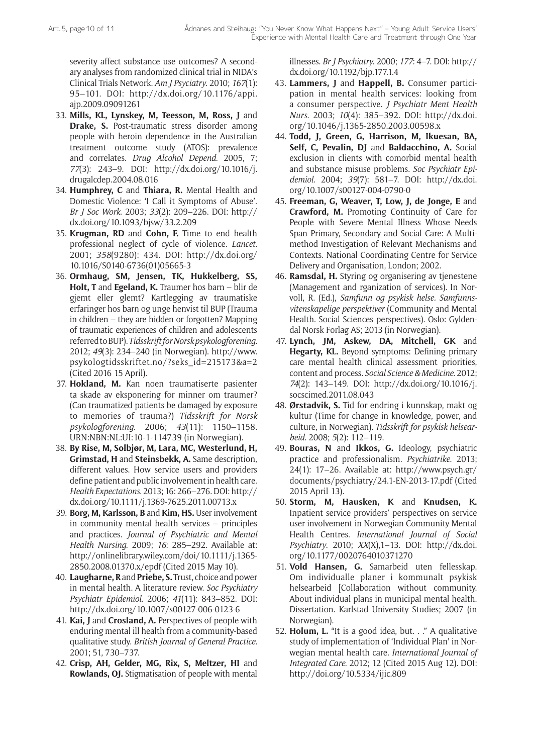severity affect substance use outcomes? A secondary analyses from randomized clinical trial in NIDA's Clinical Trials Network. *Am J Psyciatry*. 2010; *167*(1): 95–101. DOI: [http://dx.doi.org/10.1176/appi.](http://dx.doi.org/10.1176/appi.ajp.2009.09091261) [ajp.2009.09091261](http://dx.doi.org/10.1176/appi.ajp.2009.09091261)

- 33. **Mills, KL, Lynskey, M, Teesson, M, Ross, J** and **Drake, S.** Post-traumatic stress disorder among people with heroin dependence in the Australian treatment outcome study (ATOS): prevalence and correlates. *Drug Alcohol Depend*. 2005, 7; *77*(3): 243–9. DOI: [http://dx.doi.org/10.1016/j.](http://dx.doi.org/10.1016/j.drugalcdep.2004.08.016) [drugalcdep.2004.08.016](http://dx.doi.org/10.1016/j.drugalcdep.2004.08.016)
- 34. **Humphrey, C** and **Thiara, R.** Mental Health and Domestic Violence: 'I Call it Symptoms of Abuse'. *Br J Soc Work*. 2003; *33*(2): 209–226. DOI: [http://](http://dx.doi.org/10.1093/bjsw/33.2.209) [dx.doi.org/10.1093/bjsw/33.2.209](http://dx.doi.org/10.1093/bjsw/33.2.209)
- 35. **Krugman, RD** and **Cohn, F.** Time to end health professional neglect of cycle of violence. *Lancet*. 2001; *358*(9280): 434. DOI: [http://dx.doi.org/](http://dx.doi.org/10.1016/S0140-6736(01)05665-3) [10.1016/S0140-6736\(01\)05665-3](http://dx.doi.org/10.1016/S0140-6736(01)05665-3)
- 36. **Ormhaug, SM, Jensen, TK, Hukkelberg, SS, Holt, T** and **Egeland, K.** Traumer hos barn – blir de gjemt eller glemt? Kartlegging av traumatiske erfaringer hos barn og unge henvist til BUP (Trauma in children – they are hidden or forgotten? Mapping of traumatic experiences of children and adolescents referred to BUP). *Tidsskrift for Norsk psykologforening*. 2012; *49*(3): 234–240 (in Norwegian). [http://www.](http://www.psykologtidsskriftet.no/?seks_id=215173&a=2) [psykologtidsskriftet.no/?seks\\_id=215173&a=2](http://www.psykologtidsskriftet.no/?seks_id=215173&a=2) (Cited 2016 15 April).
- 37. **Hokland, M.** Kan noen traumatiserte pasienter ta skade av eksponering for minner om traumer? (Can traumatized patients be damaged by exposure to memories of trauma?) *Tidsskrift for Norsk psykologforening*. 2006; *43*(11): 1150–1158. URN:NBN:NL:UI:10-1-114739 (in Norwegian).
- 38. **By Rise, M, Solbjør, M, Lara, MC, Westerlund, H, Grimstad, H** and **Steinsbekk, A.** Same description, different values. How service users and providers define patient and public involvement in health care. *Health Expectations*. 2013; 16: 266–276. DOI: [http://](http://dx.doi.org/10.1111/j.1369-7625.2011.00713.x) [dx.doi.org/10.1111/j.1369-7625.2011.00713.x](http://dx.doi.org/10.1111/j.1369-7625.2011.00713.x)
- 39. **Borg, M, Karlsson, B** and **Kim, HS.** User involvement in community mental health services – principles and practices. *Journal of Psychiatric and Mental Health Nursing*. 2009; *16*: 285–292. Available at: [http://onlinelibrary.wiley.com/doi/10.1111/j.1365-](http://onlinelibrary.wiley.com/doi/10.1111/j.1365-2850.2008.01370.x/epdf) [2850.2008.01370.x/epdf](http://onlinelibrary.wiley.com/doi/10.1111/j.1365-2850.2008.01370.x/epdf) (Cited 2015 May 10).
- 40. **Laugharne, R** and **Priebe, S.** Trust, choice and power in mental health. A literature review. *Soc Psychiatry Psychiatr Epidemiol*. 2006; *41*(11): 843–852. DOI: <http://dx.doi.org/10.1007/s00127-006-0123-6>
- 41. **Kai, J** and **Crosland, A.** Perspectives of people with enduring mental ill health from a community-based qualitative study. *British Journal of General Practice*. 2001; 51, 730–737.
- 42. **Crisp, AH, Gelder, MG, Rix, S, Meltzer, HI** and **Rowlands, OJ.** Stigmatisation of people with mental

illnesses. *Br J Psychiatry*. 2000; *177*: 4–7. DOI: [http://](http://dx.doi.org/10.1192/bjp.177.1.4) [dx.doi.org/10.1192/bjp.177.1.4](http://dx.doi.org/10.1192/bjp.177.1.4)

- 43. **Lammers, J** and **Happell, B.** Consumer participation in mental health services: looking from a consumer perspective. *J Psychiatr Ment Health Nurs*. 2003; *10*(4): 385–392. DOI: [http://dx.doi.](http://dx.doi.org/10.1046/j.1365-2850.2003.00598.x) [org/10.1046/j.1365-2850.2003.00598.x](http://dx.doi.org/10.1046/j.1365-2850.2003.00598.x)
- 44. **Todd, J, Green, G, Harrison, M, Ikuesan, BA, Self, C, Pevalin, DJ** and **Baldacchino, A.** Social exclusion in clients with comorbid mental health and substance misuse problems. *Soc Psychiatr Epidemiol*. 2004; *39*(7): 581–7. DOI: [http://dx.doi.](http://dx.doi.org/10.1007/s00127-004-0790-0) [org/10.1007/s00127-004-0790-0](http://dx.doi.org/10.1007/s00127-004-0790-0)
- 45. **Freeman, G, Weaver, T, Low, J, de Jonge, E** and **Crawford, M.** Promoting Continuity of Care for People with Severe Mental Illness Whose Needs Span Primary, Secondary and Social Care: A Multimethod Investigation of Relevant Mechanisms and Contexts. National Coordinating Centre for Service Delivery and Organisation, London; 2002.
- 46. **Ramsdal, H.** Styring og organisering av tjenestene (Management and rganization of services). In Norvoll, R. (Ed.), *Samfunn og psykisk helse. Samfunnsvitenskapelige perspektiver* (Community and Mental Health. Social Sciences perspectives). Oslo: Gyldendal Norsk Forlag AS; 2013 (in Norwegian).
- 47. **Lynch, JM, Askew, DA, Mitchell, GK** and **Hegarty, KL.** Beyond symptoms: Defining primary care mental health clinical assessment priorities, content and process. *Social Science & Medicine*. 2012; *74*(2): 143–149. DOI: [http://dx.doi.org/10.1016/j.](http://dx.doi.org/10.1016/j.socscimed.2011.08.043) [socscimed.2011.08.043](http://dx.doi.org/10.1016/j.socscimed.2011.08.043)
- 48. **Ørstadvik, S.** Tid for endring i kunnskap, makt og kultur (Time for change in knowledge, power, and culture, in Norwegian). *Tidsskrift for psykisk helsearbeid*. 2008; *5*(2): 112–119.
- 49. **Bouras, N** and **Ikkos, G.** Ideology, psychiatric practice and professionalism. *Psychiatrike*. 2013; 24(1): 17–26. Available at: [http://www.psych.gr/](http://www.psych.gr/documents/psychiatry/24.1-EN-2013-17.pdf) [documents/psychiatry/24.1-EN-2013-17.pdf](http://www.psych.gr/documents/psychiatry/24.1-EN-2013-17.pdf) (Cited 2015 April 13).
- 50. **Storm, M, Hausken, K** and **Knudsen, K.** Inpatient service providers' perspectives on service user involvement in Norwegian Community Mental Health Centres. *International Journal of Social Psychiatry*. 2010; *XX*(X),1–13. DOI: [http://dx.doi.](http://dx.doi.org/10.1177/0020764010371270) [org/10.1177/0020764010371270](http://dx.doi.org/10.1177/0020764010371270)
- 51. **Vold Hansen, G.** Samarbeid uten fellesskap. Om individualle planer i kommunalt psykisk helsearbeid [Collaboration without community. About individual plans in municipal mental health. Dissertation. Karlstad University Studies; 2007 (in Norwegian).
- 52. **Holum, L.** "It is a good idea, but. . ." A qualitative study of implementation of 'Individual Plan' in Norwegian mental health care. *International Journal of Integrated Care*. 2012; 12 (Cited 2015 Aug 12). DOI: <http://doi.org/10.5334/ijic.809>